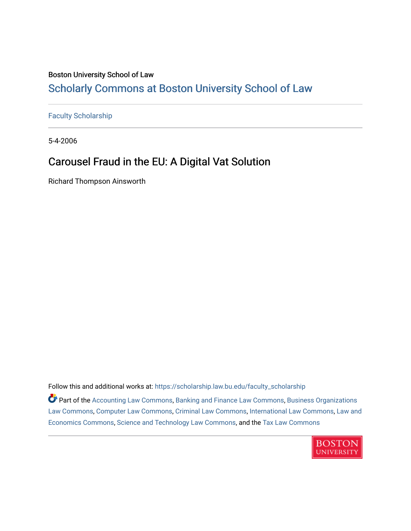### Boston University School of Law [Scholarly Commons at Boston University School of Law](https://scholarship.law.bu.edu/)

[Faculty Scholarship](https://scholarship.law.bu.edu/faculty_scholarship)

5-4-2006

### Carousel Fraud in the EU: A Digital Vat Solution

Richard Thompson Ainsworth

Follow this and additional works at: [https://scholarship.law.bu.edu/faculty\\_scholarship](https://scholarship.law.bu.edu/faculty_scholarship?utm_source=scholarship.law.bu.edu%2Ffaculty_scholarship%2F1500&utm_medium=PDF&utm_campaign=PDFCoverPages)

Part of the [Accounting Law Commons](http://network.bepress.com/hgg/discipline/828?utm_source=scholarship.law.bu.edu%2Ffaculty_scholarship%2F1500&utm_medium=PDF&utm_campaign=PDFCoverPages), [Banking and Finance Law Commons](http://network.bepress.com/hgg/discipline/833?utm_source=scholarship.law.bu.edu%2Ffaculty_scholarship%2F1500&utm_medium=PDF&utm_campaign=PDFCoverPages), [Business Organizations](http://network.bepress.com/hgg/discipline/900?utm_source=scholarship.law.bu.edu%2Ffaculty_scholarship%2F1500&utm_medium=PDF&utm_campaign=PDFCoverPages) [Law Commons,](http://network.bepress.com/hgg/discipline/900?utm_source=scholarship.law.bu.edu%2Ffaculty_scholarship%2F1500&utm_medium=PDF&utm_campaign=PDFCoverPages) [Computer Law Commons,](http://network.bepress.com/hgg/discipline/837?utm_source=scholarship.law.bu.edu%2Ffaculty_scholarship%2F1500&utm_medium=PDF&utm_campaign=PDFCoverPages) [Criminal Law Commons,](http://network.bepress.com/hgg/discipline/912?utm_source=scholarship.law.bu.edu%2Ffaculty_scholarship%2F1500&utm_medium=PDF&utm_campaign=PDFCoverPages) [International Law Commons](http://network.bepress.com/hgg/discipline/609?utm_source=scholarship.law.bu.edu%2Ffaculty_scholarship%2F1500&utm_medium=PDF&utm_campaign=PDFCoverPages), [Law and](http://network.bepress.com/hgg/discipline/612?utm_source=scholarship.law.bu.edu%2Ffaculty_scholarship%2F1500&utm_medium=PDF&utm_campaign=PDFCoverPages) [Economics Commons,](http://network.bepress.com/hgg/discipline/612?utm_source=scholarship.law.bu.edu%2Ffaculty_scholarship%2F1500&utm_medium=PDF&utm_campaign=PDFCoverPages) [Science and Technology Law Commons](http://network.bepress.com/hgg/discipline/875?utm_source=scholarship.law.bu.edu%2Ffaculty_scholarship%2F1500&utm_medium=PDF&utm_campaign=PDFCoverPages), and the [Tax Law Commons](http://network.bepress.com/hgg/discipline/898?utm_source=scholarship.law.bu.edu%2Ffaculty_scholarship%2F1500&utm_medium=PDF&utm_campaign=PDFCoverPages) 

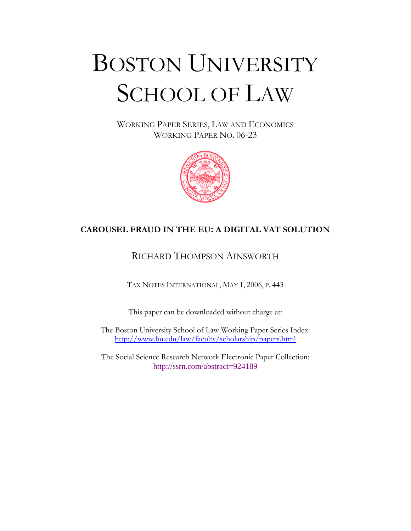# BOSTON UNIVERSITY SCHOOL OF LAW

WORKING PAPER SERIES, LAW AND ECONOMICS WORKING PAPER NO. 06-23



#### **CAROUSEL FRAUD IN THE EU: A DIGITAL VAT SOLUTION**

#### RICHARD THOMPSON AINSWORTH

TAX NOTES INTERNATIONAL, MAY 1, 2006, P. 443

This paper can be downloaded without charge at:

The Boston University School of Law Working Paper Series Index: http://www.bu.edu/law/faculty/scholarship/papers.html

The Social Science Research Network Electronic Paper Collection: http://ssrn.com/abstract=924189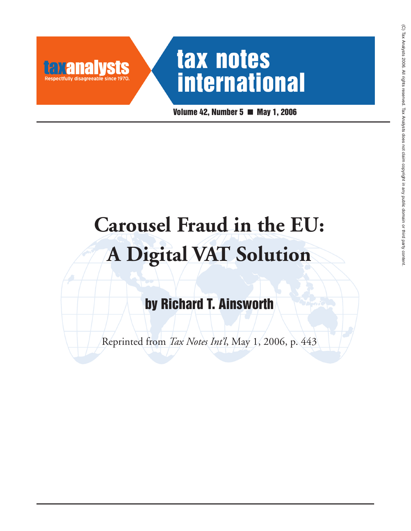# tax notes **international**

**SIS** 

**TATANA** 

**Volume 42, Number 5 May 1, 2006**

# **Carousel Fraud in the EU: A Digital VAT Solution**

**by Richard T. Ainsworth**

Reprinted from *Tax Notes Int'l*, May 1, 2006, p. 443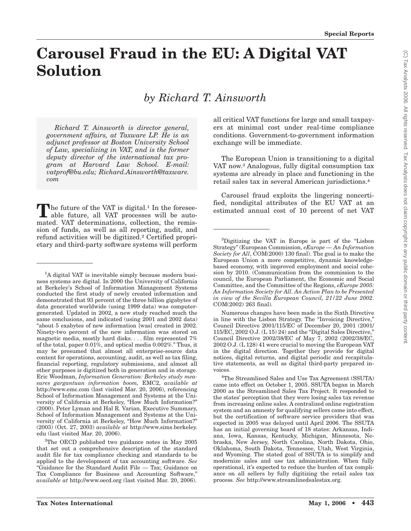### **Carousel Fraud in the EU: A Digital VAT Solution**

*by Richard T. Ainsworth*

*Richard T. Ainsworth is director general, government affairs, at Taxware LP. He is an adjunct professor at Boston University School of Law, specializing in VAT, and is the former deputy director of the international tax program at Harvard Law School. E-mail: vatprof@bu.edu; Richard.Ainsworth@taxware. com*

The future of the VAT is digital.<sup>1</sup> In the foresee-<br>able future, all VAT processes will be automated. VAT determinations, collection, the remission of funds, as well as all reporting, audit, and refund activities will be digitized.<sup>2</sup> Certified proprietary and third-party software systems will perform

all critical VAT functions for large and small taxpayers at minimal cost under real-time compliance conditions. Government-to-government information exchange will be immediate.

The European Union is transitioning to a digital VAT now.3 Analogous, fully digital consumption tax systems are already in place and functioning in the retail sales tax in several American jurisdictions.4

Carousel fraud exploits the lingering noncertified, nondigital attributes of the EU VAT at an estimated annual cost of 10 percent of net VAT

Numerous changes have been made in the Sixth Directive in line with the Lisbon Strategy. The "Invoicing Directive," Council Directive 2001/115/EC of December 20, 2001 (2001/ 115/EC, 2002 O.J. (L 15) 24) and the ''Digital Sales Directive,'' Council Directive 2002/38/EC of May 7, 2002 (2002/38/EC, 2002 O.J. (L 128) 41 were crucial to moving the European VAT in the digital direction. Together they provide for digital notices, digital returns, and digital periodic and recapitulative statements, as well as digital third-party prepared invoices.

4 The Streamlined Sales and Use Tax Agreement (SSUTA) came into effect on October 1, 2005. SSUTA began in March 2000 as the Streamlined Sales Tax Project. It responded to the states' perception that they were losing sales tax revenue from increasing online sales. A centralized online registration system and an amnesty for qualifying sellers came into effect, but the certification of software service providers that was expected in 2005 was delayed until April 2006. The SSUTA has an initial governing board of 18 states: Arkansas, Indiana, Iowa, Kansas, Kentucky, Michigan, Minnesota, Nebraska, New Jersey, North Carolina, North Dakota, Ohio, Oklahoma, South Dakota, Tennessee, Utah, West Virginia, and Wyoming. The stated goal of SSUTA is to simplify and modernize sales and use tax administration. When fully operational, it's expected to reduce the burden of tax compliance on all sellers by fully digitizing the retail sales tax process. *See* http://www.streamlinedsalestax.org.

<sup>&</sup>lt;sup>1</sup>A digital VAT is inevitable simply because modern business systems are digital. In 2000 the University of California at Berkeley's School of Information Management Systems conducted the first study of newly created information and demonstrated that 93 percent of the three billion gigabytes of data generated worldwide (using 1999 data) was computergenerated. Updated in 2002, a new study reached much the same conclusions, and indicated (using 2001 and 2002 data) ''about 5 exabytes of new information [was] created in 2002. Ninety-two percent of the new information was stored on magnetic media, mostly hard disks.... film represented 7% of the total, paper 0.01%, and optical media 0.002%.'' Thus, it may be presumed that almost all enterprise-source data content for operations, accounting, audit, as well as tax filing, financial reporting, regulatory submissions, and almost all other purposes is digitized both in generation and in storage. Eric Woodman, *Information Generation: Berkeley study measures gargantuan information boom,* EMC2, *available at* http://www.emc.com (last visited Mar. 20, 2006), referencing School of Information Management and Systems at the University of California at Berkeley, ''How Much Information?'' (2000). Peter Lyman and Hal R. Varian, Executive Summary, School of Information Management and Systems at the University of California at Berkeley, "How Much Information?" (2003) (Oct. 27, 2003) *available at* http://www.sims.berkeley. edu (last visited Mar. 20, 2006).

<sup>&</sup>lt;sup>2</sup>The OECD published two guidance notes in May 2005 that set out a comprehensive description of the standard audit file for tax compliance checking and standards to be applied to the development of tax accounting software. *See* ''Guidance for the Standard Audit File — Tax; Guidance on Tax Compliance for Business and Accounting Software,'' *available at* http://www.oecd.org (last visited Mar. 20, 2006).

<sup>&</sup>lt;sup>3</sup>Digitizing the VAT in Europe is part of the "Lisbon Strategy'' (European Commission, *eEurope — An Information Society for All*, COM(2000) 130 final). The goal is to make the European Union a more competitive, dynamic knowledgebased economy, with improved employment and social cohesion by 2010. (Communication from the commission to the council, the European Parliament, the Economic and Social Committee, and the Committee of the Regions, *eEurope 2005: An Information Society for All. An Action Plan to be Presented in view of the Sevilla European Council, 21/22 June 2002*. COM(2002) 263 final).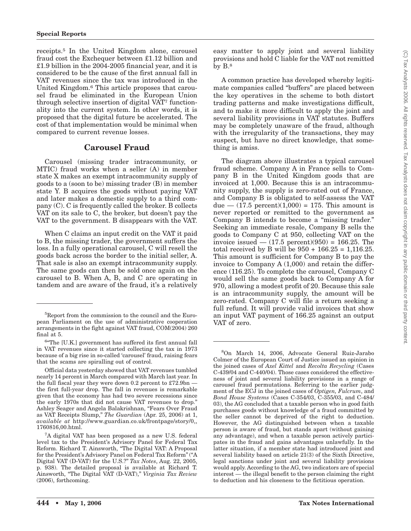receipts.5 In the United Kingdom alone, carousel fraud cost the Exchequer between £1.12 billion and £1.9 billion in the 2004-2005 financial year, and it is considered to be the cause of the first annual fall in VAT revenues since the tax was introduced in the United Kingdom.6 This article proposes that carousel fraud be eliminated in the European Union through selective insertion of digital VAT7 functionality into the current system. In other words, it is proposed that the digital future be accelerated. The cost of that implementation would be minimal when compared to current revenue losses.

#### **Carousel Fraud**

Carousel (missing trader intracommunity, or MTIC) fraud works when a seller (A) in member state X makes an exempt intracommunity supply of goods to a (soon to be) missing trader (B) in member state Y. B acquires the goods without paying VAT and later makes a domestic supply to a third company (C). C is frequently called the broker. B collects VAT on its sale to C, the broker, but doesn't pay the VAT to the government. B disappears with the VAT.

When C claims an input credit on the VAT it paid to B, the missing trader, the government suffers the loss. In a fully operational carousel, C will resell the goods back across the border to the initial seller, A. That sale is also an exempt intracommunity supply. The same goods can then be sold once again on the carousel to B. When A, B, and C are operating in tandem and are aware of the fraud, it's a relatively easy matter to apply joint and several liability provisions and hold C liable for the VAT not remitted by B.8

A common practice has developed whereby legitimate companies called ''buffers'' are placed between the key operatives in the scheme to both distort trading patterns and make investigations difficult, and to make it more difficult to apply the joint and several liability provisions in VAT statutes. Buffers may be completely unaware of the fraud, although with the irregularity of the transactions, they may suspect, but have no direct knowledge, that something is amiss.

The diagram above illustrates a typical carousel fraud scheme. Company A in France sells to Company B in the United Kingdom goods that are invoiced at 1,000. Because this is an intracommunity supply, the supply is zero-rated out of France, and Company B is obligated to self-assess the VAT due  $- (17.5 \text{ percent})(1,000) = 175$ . This amount is never reported or remitted to the government as Company B intends to become a "missing trader." Seeking an immediate resale, Company B sells the goods to Company C at 950, collecting VAT on the invoice issued  $- (17.5 \text{ percent})(950) = 166.25$ . The total received by B will be  $950 + 166.25 = 1,116.25$ . This amount is sufficient for Company B to pay the invoice to Company A (1,000) and retain the difference (116.25). To complete the carousel, Company C would sell the same goods back to Company A for 970, allowing a modest profit of 20. Because this sale is an intracommunity supply, the amount will be zero-rated. Company C will file a return seeking a full refund. It will provide valid invoices that show an input VAT payment of 166.25 against an output VAT of zero.

<sup>5</sup> Report from the commission to the council and the European Parliament on the use of administrative cooperation arrangements in the fight against VAT fraud, COM(2004) 260 final at 5.

<sup>&</sup>lt;sup>6</sup>The [U.K.] government has suffered its first annual fall in VAT revenues since it started collecting the tax in 1973 because of a big rise in so-called 'carousel' fraud, raising fears that the scams are spiralling out of control.

Official data yesterday showed that VAT revenues tumbled nearly 14 percent in March compared with March last year. In the full fiscal year they were down 0.2 percent to £72.9bn the first full-year drop. The fall in revenues is remarkable given that the economy has had two severe recessions since the early 1970s that did not cause VAT revenues to drop.'' Ashley Seager and Angela Balakrishnan, ''Fears Over Fraud as VAT Receipts Slump,'' *The Guardian* (Apr. 25, 2006) at 1, *available at* http://www.guardian.co.uk/frontpage/story/0,, 1760816,00.html.

<sup>7</sup> A digital VAT has been proposed as a new U.S. federal level tax to the President's Advisory Panel for Federal Tax Reform. Richard T. Ainsworth, ''The Digital VAT: A Proposal for the President's Advisory Panel on Federal Tax Reform'' (''A Digital VAT (D-VAT) for the U.S.?'' *Tax Notes*, Aug. 22, 2005, p. 938). The detailed proposal is available at Richard T. Ainsworth, ''The Digital VAT (D-VAT),'' *Virginia Tax Review* (2006), forthcoming.

<sup>8</sup> On March 14, 2006, Advocate General Ruiz-Jarabo Colmer of the European Court of Justice issued an opinion in the joined cases of *Axel Kittel* and *Recolta Recycling* (Cases C-439/04 and C-440/04). Those cases considered the effectiveness of joint and several liability provisions in a range of carousel fraud permutations. Referring to the earlier judgment of the ECJ in the joined cases of *Optigen, Fulcrum*, and *Bond House Systems* (Cases C-354/03, C-355/03, and C-484/ 03), the AG concluded that a taxable person who in good faith purchases goods without knowledge of a fraud committed by the seller cannot be deprived of the right to deduction. However, the AG distinguished between when a taxable person is aware of fraud, but stands apart (without gaining any advantage), and when a taxable person actively participates in the fraud and gains advantages unlawfully. In the latter situation, if a member state had introduced joint and several liability based on article 21(3) of the Sixth Directive, legal sanctions under joint and several liability provisions would apply. According to the AG, two indicators are of special interest — the illegal benefit to the person claiming the right to deduction and his closeness to the fictitious operation.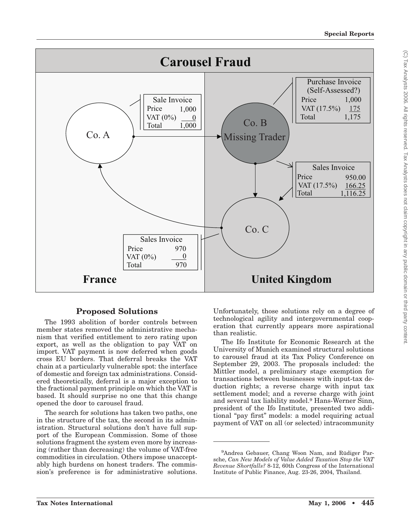

#### **Proposed Solutions**

The 1993 abolition of border controls between member states removed the administrative mechanism that verified entitlement to zero rating upon export, as well as the obligation to pay VAT on import. VAT payment is now deferred when goods cross EU borders. That deferral breaks the VAT chain at a particularly vulnerable spot: the interface of domestic and foreign tax administrations. Considered theoretically, deferral is a major exception to the fractional payment principle on which the VAT is based. It should surprise no one that this change opened the door to carousel fraud.

The search for solutions has taken two paths, one in the structure of the tax, the second in its administration. Structural solutions don't have full support of the European Commission. Some of those solutions fragment the system even more by increasing (rather than decreasing) the volume of VAT-free commodities in circulation. Others impose unacceptably high burdens on honest traders. The commission's preference is for administrative solutions.

Unfortunately, those solutions rely on a degree of technological agility and intergovernmental cooperation that currently appears more aspirational than realistic.

The Ifo Institute for Economic Research at the University of Munich examined structural solutions to carousel fraud at its Tax Policy Conference on September 29, 2003. The proposals included: the Mittler model, a preliminary stage exemption for transactions between businesses with input-tax deduction rights; a reverse charge with input tax settlement model; and a reverse charge with joint and several tax liability model.9 Hans-Werner Sinn, president of the Ifo Institute, presented two additional ''pay first'' models: a model requiring actual payment of VAT on all (or selected) intracommunity

<sup>9</sup> Andrea Gebauer, Chang Woon Nam, and Rüdiger Parsche, *Can New Models of Value Added Taxation Stop the VAT Revenue Shortfalls?* 8-12, 60th Congress of the International Institute of Public Finance, Aug. 23-26, 2004, Thailand.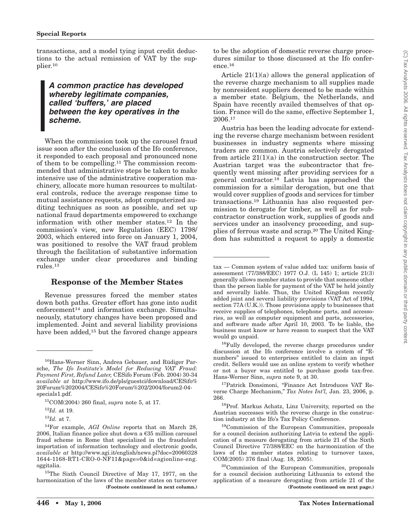transactions, and a model tying input credit deductions to the actual remission of VAT by the supplier.10

#### *A common practice has developed whereby legitimate companies, called 'buffers,' are placed between the key operatives in the scheme.*

When the commission took up the carousel fraud issue soon after the conclusion of the Ifo conference, it responded to each proposal and pronounced none of them to be compelling.11 The commission recommended that administrative steps be taken to make intensive use of the administrative cooperation machinery, allocate more human resources to multilateral controls, reduce the average response time to mutual assistance requests, adopt computerized auditing techniques as soon as possible, and set up national fraud departments empowered to exchange information with other member states.12 In the commission's view, new Regulation (EEC) 1798/ 2003, which entered into force on January 1, 2004, was positioned to resolve the VAT fraud problem through the facilitation of substantive information exchange under clear procedures and binding rules.13

#### **Response of the Member States**

Revenue pressures forced the member states down both paths. Greater effort has gone into audit enforcement<sup>14</sup> and information exchange. Simultaneously, statutory changes have been proposed and implemented. Joint and several liability provisions have been added,<sup>15</sup> but the favored change appears

15The Sixth Council Directive of May 17, 1977, on the harmonization of the laws of the member states on turnover to be the adoption of domestic reverse charge procedures similar to those discussed at the Ifo conference.16

Article  $21(1)(a)$  allows the general application of the reverse charge mechanism to all supplies made by nonresident suppliers deemed to be made within a member state. Belgium, the Netherlands, and Spain have recently availed themselves of that option. France will do the same, effective September 1, 2006.17

Austria has been the leading advocate for extending the reverse charge mechanism between resident businesses in industry segments where missing traders are common. Austria selectively derogated from article  $21(1)(a)$  in the construction sector. The Austrian target was the subcontractor that frequently went missing after providing services for a general contractor.18 Latvia has approached the commission for a similar derogation, but one that would cover supplies of goods and services for timber transactions.19 Lithuania has also requested permission to derogate for timber, as well as for subcontractor construction work, supplies of goods and services under an insolvency proceeding, and supplies of ferrous waste and scrap.20 The United Kingdom has submitted a request to apply a domestic

<sup>17</sup>Patrick Donsimoni, "Finance Act Introduces VAT Reverse Charge Mechanism,'' *Tax Notes Int'l,* Jan. 23, 2006, p. 266.

18Prof. Markus Achatz, Linz University, reported on the Austrian successes with the reverse charge in the construction industry at the Ifo's Tax Policy Conference.

<sup>10</sup>Hans-Werner Sinn, Andrea Gebauer, and Rüdiger Parsche, *The Ifo Institute's Model for Reducing VAT Fraud: Payment First, Refund Later,* CESifo Forum (Feb. 2004) 30-34 *available at* http://www.ifo.de/pls/guestci/download/CESifo% 20Forum%202004/CESifo%20Forum%202/2004/forum2-04 specials1.pdf.

<sup>11</sup>COM(2004) 260 final, *supra* note 5, at 17.

<sup>12</sup>*Id.* at 19.

<sup>13</sup>*Id.* at 7.

<sup>14</sup>For example, *AGI Online* reports that on March 28, 2006, Italian finance police shut down a €35 million carousel fraud scheme in Rome that specialized in the fraudulent importation of information technology and electronic goods, *available at* http://www.agi.it/english/news.pl?doc=20060328 1644-1168-RT1-CRO-0-NF11&page=0&id=agionline-eng. oggitalia.

tax — Common system of value added tax: uniform basis of assessment (77/388/EEC) 1977 O.J. (L 145) 1; article 21(3) generally allows member states to provide that someone other than the person liable for payment of the VAT be held jointly and severally liable. Thus, the United Kingdom recently added joint and several liability provisions (VAT Act of 1994, section 77A (U.K.)). Those provisions apply to businesses that receive supplies of telephones, telephone parts, and accessories, as well as computer equipment and parts, accessories, and software made after April 10, 2003. To be liable, the business must know or have reason to suspect that the VAT would go unpaid.

<sup>&</sup>lt;sup>16</sup>Fully developed, the reverse charge procedures under discussion at the Ifo conference involve a system of ''Rnumbers'' issued to enterprises entitled to claim an input credit. Sellers would use an online system to verify whether or not a buyer was entitled to purchase goods tax-free. Hans-Werner Sinn, *supra* note 9, at 30.

<sup>19</sup>Commission of the European Communities, proposals for a council decision authorizing Latvia to extend the application of a measure derogating from article 21 of the Sixth Council Directive 77/388/EEC on the harmonization of the laws of the member states relating to turnover taxes, COM(2005) 376 final (Aug. 18, 2005).

<sup>20</sup>Commission of the European Communities, proposals for a council decision authorizing Lithuania to extend the application of a measure derogating from article 21 of the **(Footnote continued in next column.) (Footnote continued on next page.)**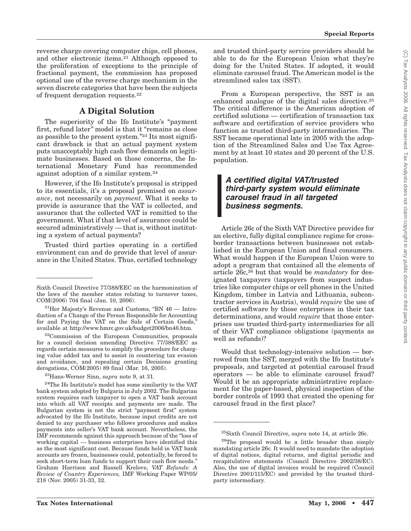reverse charge covering computer chips, cell phones, and other electronic items.21 Although opposed to the proliferation of exceptions to the principle of fractional payment, the commission has proposed optional use of the reverse charge mechanism in the seven discrete categories that have been the subjects of frequent derogation requests.22

#### **A Digital Solution**

The superiority of the Ifo Institute's ''payment first, refund later" model is that it "remains as close as possible to the present system."<sup>23</sup> Its most significant drawback is that an actual payment system puts unacceptably high cash flow demands on legitimate businesses. Based on those concerns, the International Monetary Fund has recommended against adoption of a similar system.24

However, if the Ifo Institute's proposal is stripped to its essentials, it's a proposal premised on *assurance*, not necessarily on *payment*. What it seeks to provide is assurance that the VAT is collected, and assurance that the collected VAT is remitted to the government. What if that level of assurance could be secured administratively — that is, without instituting a system of actual payments?

Trusted third parties operating in a certified environment can and do provide that level of assurance in the United States. Thus, certified technology

22Commission of the European Communities, proposals for a council decision amending Directive 77/388/EEC as regards certain measures to simplify the procedure for charging value added tax and to assist in countering tax evasion and avoidance, and repealing certain Decisions granting derogations, COM(2005) 89 final (Mar. 16, 2005).

23Hans-Werner Sinn, *supra* note 9, at 31.

<sup>24</sup>The Ifo Institute's model has some similarity to the VAT bank system adopted by Bulgaria in July 2002. The Bulgarian system requires each taxpayer to open a VAT bank account into which all VAT receipts and payments are made. The Bulgarian system is not the strict "payment first" system advocated by the Ifo Institute, because input credits are not denied to any purchaser who follows procedures and makes payments into seller's VAT bank account. Nevertheless, the IMF recommends against this approach because of the ''loss of working capital — business enterprises have identified this as the most significant cost. Because funds held in VAT bank accounts are frozen, businesses could, potentially, be forced to seek short-term loan funds to support their cash flow needs.'' Graham Harrison and Russell Krelove, *VAT Refunds: A Review of Country Experiences,* IMF Working Paper WP/05/ 218 (Nov. 2005) 31-33, 32.

and trusted third-party service providers should be able to do for the European Union what they're doing for the United States. If adopted, it would eliminate carousel fraud. The American model is the streamlined sales tax (SST).

From a European perspective, the SST is an enhanced analogue of the digital sales directive.25 The critical difference is the American adoption of certified solutions — certification of transaction tax software and certification of service providers who function as trusted third-party intermediaries. The SST became operational late in 2005 with the adoption of the Streamlined Sales and Use Tax Agreement by at least 10 states and 20 percent of the U.S. population.

#### *A certified digital VAT/trusted third-party system would eliminate carousel fraud in all targeted business segments.*

Article 26c of the Sixth VAT Directive provides for an elective, fully digital compliance regime for crossborder transactions between businesses not established in the European Union and final consumers. What would happen if the European Union were to adopt a program that contained all the elements of article 26c,26 but that would be *mandatory* for designated taxpayers (taxpayers from suspect industries like computer chips or cell phones in the United Kingdom, timber in Latvia and Lithuania, subcontractor services in Austria), would *require* the use of certified software by those enterprises in their tax determinations, and would *require* that those enterprises use trusted third-party intermediaries for all of their VAT compliance obligations (payments as well as refunds)?

Would that technology-intensive solution — borrowed from the SST, merged with the Ifo Institute's proposals, and targeted at potential carousel fraud operators — be able to eliminate carousel fraud? Would it be an appropriate administrative replacement for the paper-based, physical inspection of the border controls of 1993 that created the opening for carousel fraud in the first place?

25Sixth Council Directive, *supra* note 14, at article 26c.

Sixth Council Directive 77/388/EEC on the harmonization of the laws of the member states relating to turnover taxes, COM(2006) 704 final (Jan. 10, 2006).

 $^{21}$ Her Majesty's Revenue and Customs, "BN 46  $-$  Introduction of a Change of the Person Responsible for Accounting for and Paying the VAT on the Sale of Certain Goods, available at http://www.hmrc.gov.uk/budget2006/bn46.htm.

<sup>&</sup>lt;sup>26</sup>The proposal would be a little broader than simply mandating article 26c. It would need to mandate the adoption of digital notices, digital returns, and digital periodic and recapitulative statements (Council Directive 2002/38/EC). Also, the use of digital invoices would be required (Council Directive 2001/115/EC) and provided by the trusted thirdparty intermediary.